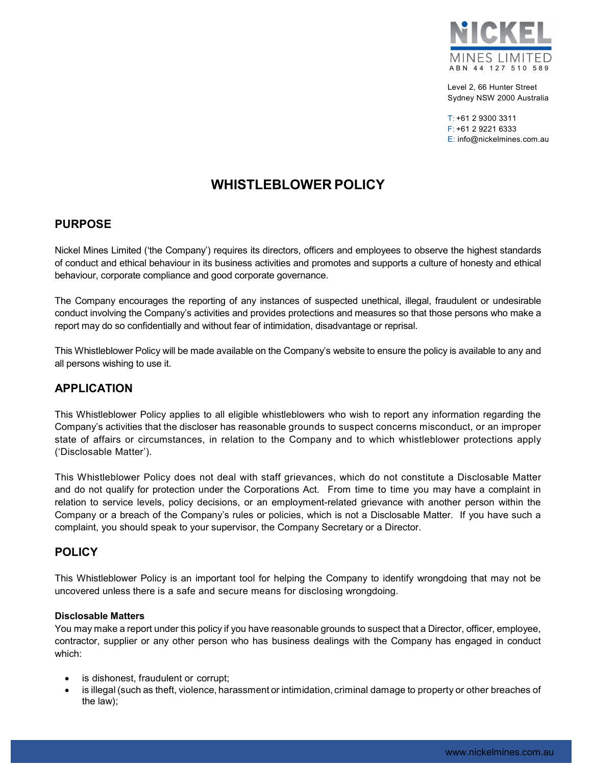

Level 2, 66 Hunter Street Sydney NSW 2000 Australia

 $T: +61$  2 9300 3311 F: +61 2 9221 6333 E: info@nickelmines.com.au

# WHISTLEBLOWER POLICY

# PURPOSE

Nickel Mines Limited ('the Company') requires its directors, officers and employees to observe the highest standards of conduct and ethical behaviour in its business activities and promotes and supports a culture of honesty and ethical behaviour, corporate compliance and good corporate governance.

The Company encourages the reporting of any instances of suspected unethical, illegal, fraudulent or undesirable conduct involving the Company's activities and provides protections and measures so that those persons who make a report may do so confidentially and without fear of intimidation, disadvantage or reprisal.

This Whistleblower Policy will be made available on the Company's website to ensure the policy is available to any and all persons wishing to use it.

# APPLICATION

This Whistleblower Policy applies to all eligible whistleblowers who wish to report any information regarding the Company's activities that the discloser has reasonable grounds to suspect concerns misconduct, or an improper state of affairs or circumstances, in relation to the Company and to which whistleblower protections apply ('Disclosable Matter').

This Whistleblower Policy does not deal with staff grievances, which do not constitute a Disclosable Matter and do not qualify for protection under the Corporations Act. From time to time you may have a complaint in relation to service levels, policy decisions, or an employment-related grievance with another person within the Company or a breach of the Company's rules or policies, which is not a Disclosable Matter. If you have such a complaint, you should speak to your supervisor, the Company Secretary or a Director.

# **POLICY**

This Whistleblower Policy is an important tool for helping the Company to identify wrongdoing that may not be uncovered unless there is a safe and secure means for disclosing wrongdoing.

### Disclosable Matters

You may make a report under this policy if you have reasonable grounds to suspect that a Director, officer, employee, contractor, supplier or any other person who has business dealings with the Company has engaged in conduct which:

- is dishonest, fraudulent or corrupt;
- is illegal (such as theft, violence, harassment or intimidation, criminal damage to property or other breaches of the law);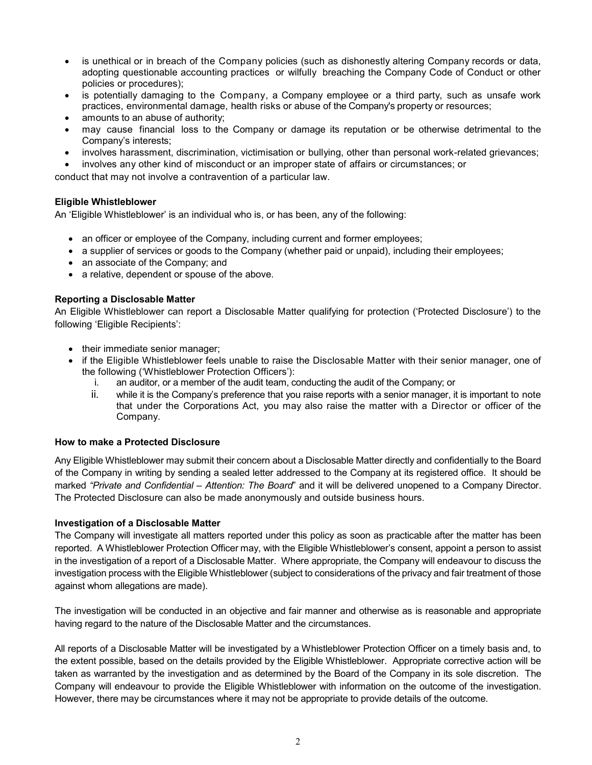- is unethical or in breach of the Company policies (such as dishonestly altering Company records or data, adopting questionable accounting practices or wilfully breaching the Company Code of Conduct or other policies or procedures);
- is potentially damaging to the Company, a Company employee or a third party, such as unsafe work practices, environmental damage, health risks or abuse of the Company's property or resources;
- amounts to an abuse of authority;
- may cause financial loss to the Company or damage its reputation or be otherwise detrimental to the Company's interests;
- involves harassment, discrimination, victimisation or bullying, other than personal work-related grievances;
- involves any other kind of misconduct or an improper state of affairs or circumstances; or

conduct that may not involve a contravention of a particular law.

### Eligible Whistleblower

An 'Eligible Whistleblower' is an individual who is, or has been, any of the following:

- an officer or employee of the Company, including current and former employees;
- a supplier of services or goods to the Company (whether paid or unpaid), including their employees;
- an associate of the Company; and
- a relative, dependent or spouse of the above.

### Reporting a Disclosable Matter

An Eligible Whistleblower can report a Disclosable Matter qualifying for protection ('Protected Disclosure') to the following 'Eligible Recipients':

- their immediate senior manager;
- if the Eligible Whistleblower feels unable to raise the Disclosable Matter with their senior manager, one of the following ('Whistleblower Protection Officers'):
	- i. an auditor, or a member of the audit team, conducting the audit of the Company; or
	- ii. while it is the Company's preference that you raise reports with a senior manager, it is important to note that under the Corporations Act, you may also raise the matter with a Director or officer of the Company.

#### How to make a Protected Disclosure

Any Eligible Whistleblower may submit their concern about a Disclosable Matter directly and confidentially to the Board of the Company in writing by sending a sealed letter addressed to the Company at its registered office. It should be marked "Private and Confidential – Attention: The Board" and it will be delivered unopened to a Company Director. The Protected Disclosure can also be made anonymously and outside business hours.

#### Investigation of a Disclosable Matter

The Company will investigate all matters reported under this policy as soon as practicable after the matter has been reported. A Whistleblower Protection Officer may, with the Eligible Whistleblower's consent, appoint a person to assist in the investigation of a report of a Disclosable Matter. Where appropriate, the Company will endeavour to discuss the investigation process with the Eligible Whistleblower (subject to considerations of the privacy and fair treatment of those against whom allegations are made).

The investigation will be conducted in an objective and fair manner and otherwise as is reasonable and appropriate having regard to the nature of the Disclosable Matter and the circumstances.

All reports of a Disclosable Matter will be investigated by a Whistleblower Protection Officer on a timely basis and, to the extent possible, based on the details provided by the Eligible Whistleblower. Appropriate corrective action will be taken as warranted by the investigation and as determined by the Board of the Company in its sole discretion. The Company will endeavour to provide the Eligible Whistleblower with information on the outcome of the investigation. However, there may be circumstances where it may not be appropriate to provide details of the outcome.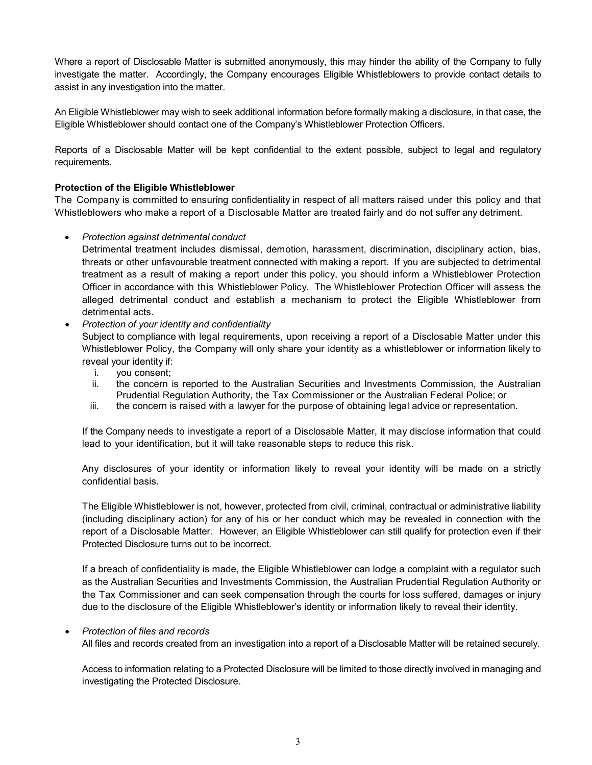Where a report of Disclosable Matter is submitted anonymously, this may hinder the ability of the Company to fully investigate the matter. Accordingly, the Company encourages Eligible Whistleblowers to provide contact details to assist in any investigation into the matter.

An Eligible Whistleblower may wish to seek additional information before formally making a disclosure, in that case, the Eligible Whistleblower should contact one of the Company's Whistleblower Protection Officers.

Reports of a Disclosable Matter will be kept confidential to the extent possible, subject to legal and regulatory requirements.

# Protection of the Eligible Whistleblower

The Company is committed to ensuring confidentiality in respect of all matters raised under this policy and that Whistleblowers who make a report of a Disclosable Matter are treated fairly and do not suffer any detriment.

## • Protection against detrimental conduct

Detrimental treatment includes dismissal, demotion, harassment, discrimination, disciplinary action, bias, threats or other unfavourable treatment connected with making a report. If you are subjected to detrimental treatment as a result of making a report under this policy, you should inform a Whistleblower Protection Officer in accordance with this Whistleblower Policy. The Whistleblower Protection Officer will assess the alleged detrimental conduct and establish a mechanism to protect the Eligible Whistleblower from detrimental acts.

• Protection of your identity and confidentiality

Subject to compliance with legal requirements, upon receiving a report of a Disclosable Matter under this Whistleblower Policy, the Company will only share your identity as a whistleblower or information likely to reveal your identity if:

- i. you consent;
- ii. the concern is reported to the Australian Securities and Investments Commission, the Australian Prudential Regulation Authority, the Tax Commissioner or the Australian Federal Police; or
- iii. the concern is raised with a lawyer for the purpose of obtaining legal advice or representation.

If the Company needs to investigate a report of a Disclosable Matter, it may disclose information that could lead to your identification, but it will take reasonable steps to reduce this risk.

Any disclosures of your identity or information likely to reveal your identity will be made on a strictly confidential basis.

The Eligible Whistleblower is not, however, protected from civil, criminal, contractual or administrative liability (including disciplinary action) for any of his or her conduct which may be revealed in connection with the report of a Disclosable Matter. However, an Eligible Whistleblower can still qualify for protection even if their Protected Disclosure turns out to be incorrect.

If a breach of confidentiality is made, the Eligible Whistleblower can lodge a complaint with a regulator such as the Australian Securities and Investments Commission, the Australian Prudential Regulation Authority or the Tax Commissioner and can seek compensation through the courts for loss suffered, damages or injury due to the disclosure of the Eligible Whistleblower's identity or information likely to reveal their identity.

## Protection of files and records

All files and records created from an investigation into a report of a Disclosable Matter will be retained securely.

Access to information relating to a Protected Disclosure will be limited to those directly involved in managing and investigating the Protected Disclosure.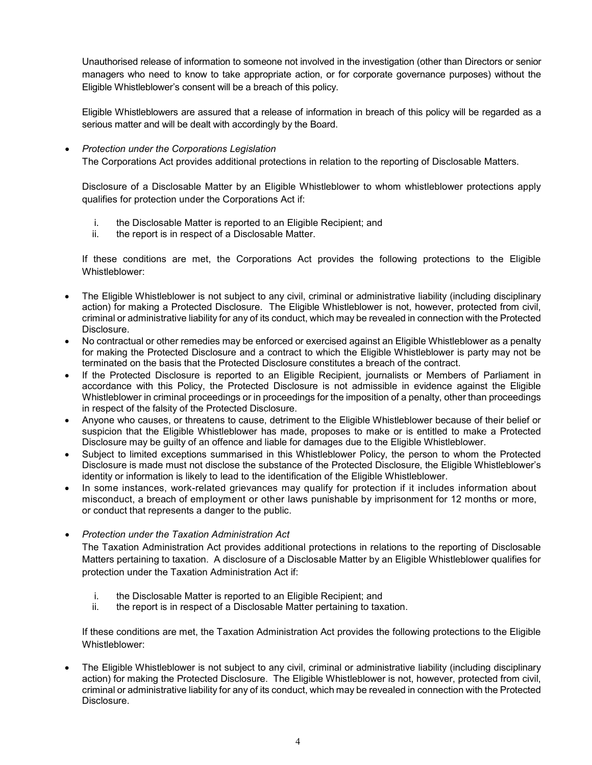Unauthorised release of information to someone not involved in the investigation (other than Directors or senior managers who need to know to take appropriate action, or for corporate governance purposes) without the Eligible Whistleblower's consent will be a breach of this policy.

Eligible Whistleblowers are assured that a release of information in breach of this policy will be regarded as a serious matter and will be dealt with accordingly by the Board.

### Protection under the Corporations Legislation

The Corporations Act provides additional protections in relation to the reporting of Disclosable Matters.

Disclosure of a Disclosable Matter by an Eligible Whistleblower to whom whistleblower protections apply qualifies for protection under the Corporations Act if:

- i. the Disclosable Matter is reported to an Eligible Recipient; and
- ii. the report is in respect of a Disclosable Matter.

If these conditions are met, the Corporations Act provides the following protections to the Eligible Whistleblower:

- The Eligible Whistleblower is not subject to any civil, criminal or administrative liability (including disciplinary action) for making a Protected Disclosure. The Eligible Whistleblower is not, however, protected from civil, criminal or administrative liability for any of its conduct, which may be revealed in connection with the Protected Disclosure.
- No contractual or other remedies may be enforced or exercised against an Eligible Whistleblower as a penalty for making the Protected Disclosure and a contract to which the Eligible Whistleblower is party may not be terminated on the basis that the Protected Disclosure constitutes a breach of the contract.
- If the Protected Disclosure is reported to an Eligible Recipient, journalists or Members of Parliament in accordance with this Policy, the Protected Disclosure is not admissible in evidence against the Eligible Whistleblower in criminal proceedings or in proceedings for the imposition of a penalty, other than proceedings in respect of the falsity of the Protected Disclosure.
- Anyone who causes, or threatens to cause, detriment to the Eligible Whistleblower because of their belief or suspicion that the Eligible Whistleblower has made, proposes to make or is entitled to make a Protected Disclosure may be guilty of an offence and liable for damages due to the Eligible Whistleblower.
- Subject to limited exceptions summarised in this Whistleblower Policy, the person to whom the Protected Disclosure is made must not disclose the substance of the Protected Disclosure, the Eligible Whistleblower's identity or information is likely to lead to the identification of the Eligible Whistleblower.
- In some instances, work-related grievances may qualify for protection if it includes information about misconduct, a breach of employment or other laws punishable by imprisonment for 12 months or more, or conduct that represents a danger to the public.
- Protection under the Taxation Administration Act

The Taxation Administration Act provides additional protections in relations to the reporting of Disclosable Matters pertaining to taxation. A disclosure of a Disclosable Matter by an Eligible Whistleblower qualifies for protection under the Taxation Administration Act if:

- i. the Disclosable Matter is reported to an Eligible Recipient; and
- ii. the report is in respect of a Disclosable Matter pertaining to taxation.

If these conditions are met, the Taxation Administration Act provides the following protections to the Eligible Whistleblower:

 The Eligible Whistleblower is not subject to any civil, criminal or administrative liability (including disciplinary action) for making the Protected Disclosure. The Eligible Whistleblower is not, however, protected from civil, criminal or administrative liability for any of its conduct, which may be revealed in connection with the Protected Disclosure.